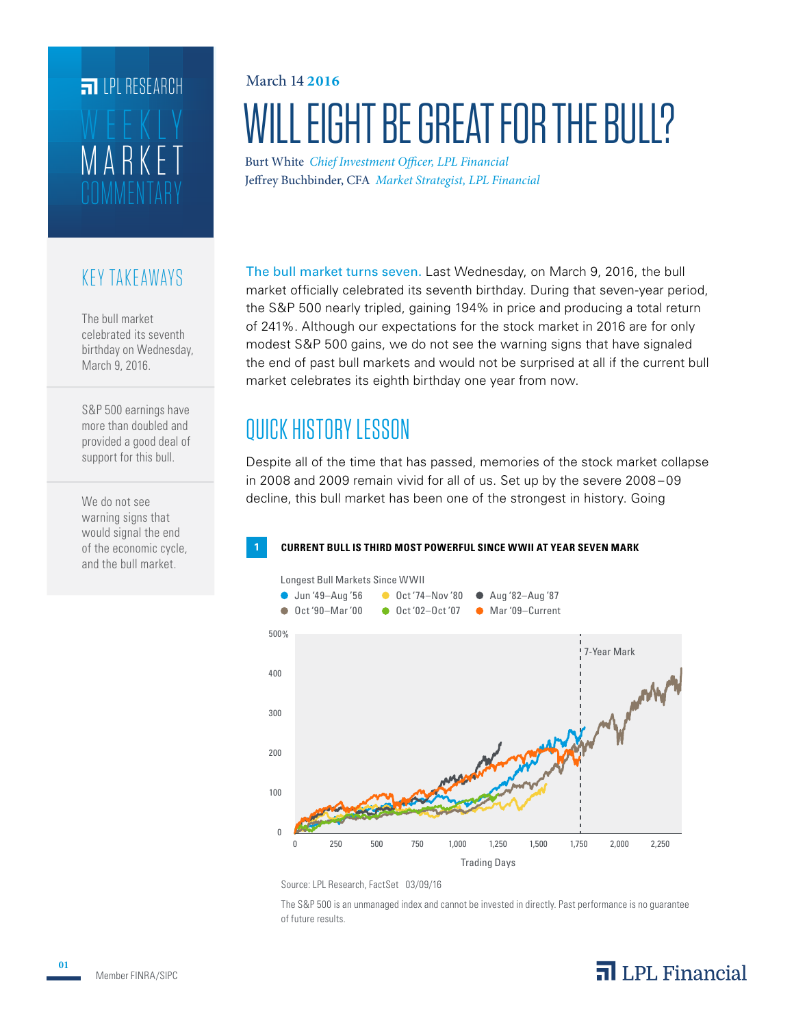# MARKET WEEKLY **FILPL RESEARCH**

### KEY TAKEAWAYS

The bull market celebrated its seventh birthday on Wednesday, March 9, 2016.

S&P 500 earnings have more than doubled and provided a good deal of support for this bull.

We do not see warning signs that would signal the end of the economic cycle, and the bull market.

## WILL EIGHT BE GREAT FOR THE BULL? March 14 **2016**

Burt White *Chief Investment Officer, LPL Financial* Jeffrey Buchbinder, CFA *Market Strategist, LPL Financial*

The bull market turns seven. Last Wednesday, on March 9, 2016, the bull market officially celebrated its seventh birthday. During that seven-year period, the S&P 500 nearly tripled, gaining 194% in price and producing a total return of 241%. Although our expectations for the stock market in 2016 are for only modest S&P 500 gains, we do not see the warning signs that have signaled the end of past bull markets and would not be surprised at all if the current bull market celebrates its eighth birthday one year from now.

### QUICK HISTORY LESSON

Despite all of the time that has passed, memories of the stock market collapse in 2008 and 2009 remain vivid for all of us. Set up by the severe 2008 – 09 decline, this bull market has been one of the strongest in history. Going

#### **1 CURRENT BULL IS THIRD MOST POWERFUL SINCE WWII AT YEAR SEVEN MARK**



Source: LPL Research, FactSet 03/09/16

The S&P 500 is an unmanaged index and cannot be invested in directly. Past performance is no guarantee of future results.

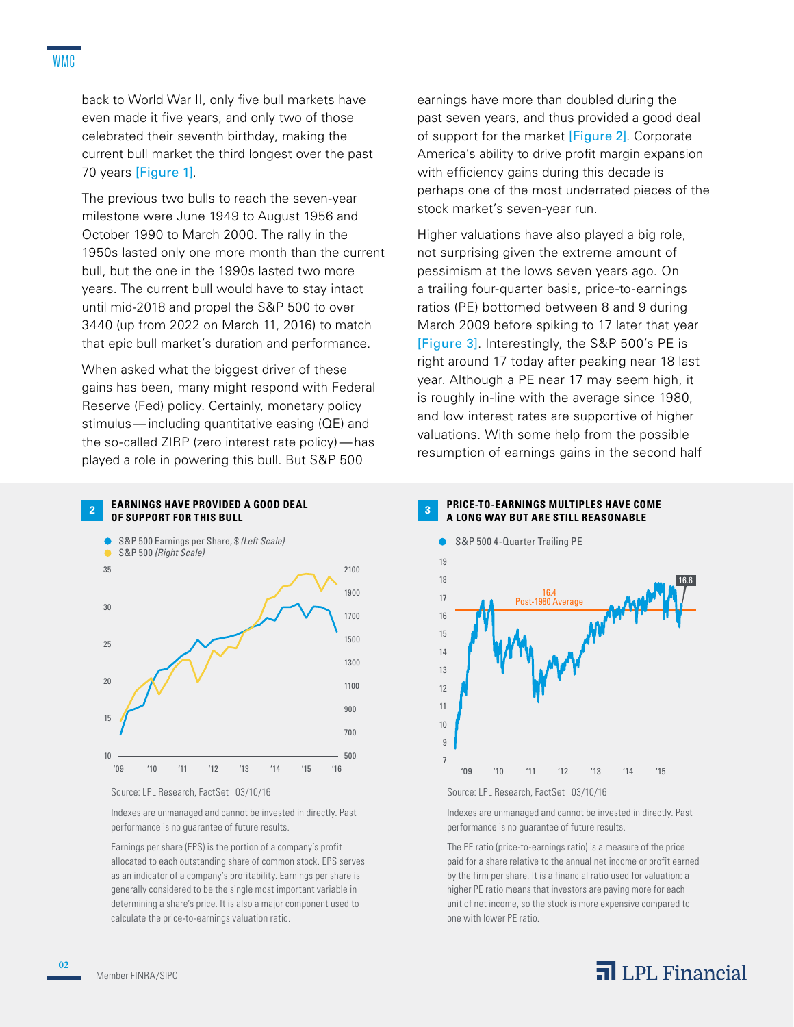back to World War II, only five bull markets have even made it five years, and only two of those celebrated their seventh birthday, making the current bull market the third longest over the past 70 years [Figure 1].

The previous two bulls to reach the seven-year milestone were June 1949 to August 1956 and October 1990 to March 2000. The rally in the 1950s lasted only one more month than the current bull, but the one in the 1990s lasted two more years. The current bull would have to stay intact until mid-2018 and propel the S&P 500 to over 3440 (up from 2022 on March 11, 2016) to match that epic bull market's duration and performance.

When asked what the biggest driver of these gains has been, many might respond with Federal Reserve (Fed) policy. Certainly, monetary policy stimulus—including quantitative easing (QE) and the so-called ZIRP (zero interest rate policy)—has played a role in powering this bull. But S&P 500

#### **EARNINGS HAVE PROVIDED A GOOD DEAL OF SUPPORT FOR THIS BULL**

**2**



Source: LPL Research, FactSet 03/10/16

Indexes are unmanaged and cannot be invested in directly. Past performance is no guarantee of future results.

Earnings per share (EPS) is the portion of a company's profit allocated to each outstanding share of common stock. EPS serves as an indicator of a company's profitability. Earnings per share is generally considered to be the single most important variable in determining a share's price. It is also a major component used to calculate the price-to-earnings valuation ratio.

earnings have more than doubled during the past seven years, and thus provided a good deal of support for the market [Figure 2]. Corporate America's ability to drive profit margin expansion with efficiency gains during this decade is perhaps one of the most underrated pieces of the stock market's seven-year run.

Higher valuations have also played a big role, not surprising given the extreme amount of pessimism at the lows seven years ago. On a trailing four-quarter basis, price-to-earnings ratios (PE) bottomed between 8 and 9 during March 2009 before spiking to 17 later that year [Figure 3]. Interestingly, the S&P 500's PE is right around 17 today after peaking near 18 last year. Although a PE near 17 may seem high, it is roughly in-line with the average since 1980, and low interest rates are supportive of higher valuations. With some help from the possible resumption of earnings gains in the second half





Indexes are unmanaged and cannot be invested in directly. Past performance is no guarantee of future results.

The PE ratio (price-to-earnings ratio) is a measure of the price paid for a share relative to the annual net income or profit earned by the firm per share. It is a financial ratio used for valuation: a higher PE ratio means that investors are paying more for each unit of net income, so the stock is more expensive compared to one with lower PE ratio.

### $\overline{\mathbf{a}}$  LPL Financial

**02**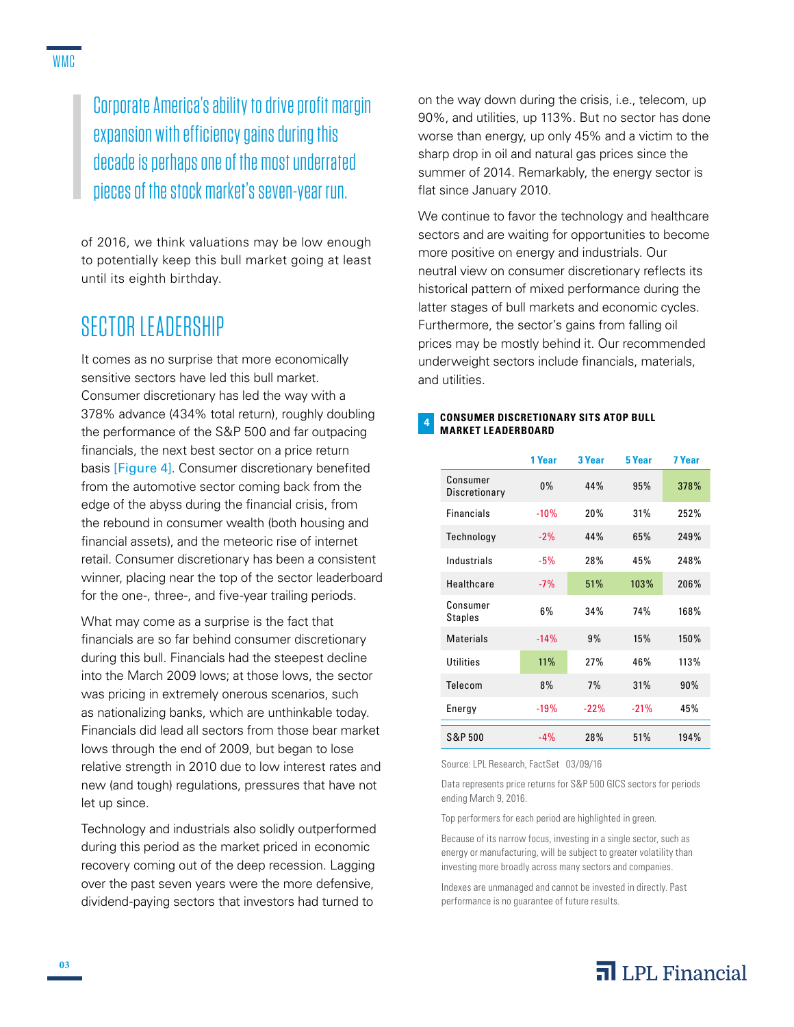Corporate America's ability to drive profit margin expansion with efficiency gains during this decade is perhaps one of the most underrated pieces of the stock market's seven-year run.

of 2016, we think valuations may be low enough to potentially keep this bull market going at least until its eighth birthday.

### SECTOR LEADERSHIP

It comes as no surprise that more economically sensitive sectors have led this bull market. Consumer discretionary has led the way with a 378% advance (434% total return), roughly doubling the performance of the S&P 500 and far outpacing financials, the next best sector on a price return basis [Figure 4]. Consumer discretionary benefited from the automotive sector coming back from the edge of the abyss during the financial crisis, from the rebound in consumer wealth (both housing and financial assets), and the meteoric rise of internet retail. Consumer discretionary has been a consistent winner, placing near the top of the sector leaderboard for the one-, three-, and five-year trailing periods.

What may come as a surprise is the fact that financials are so far behind consumer discretionary during this bull. Financials had the steepest decline into the March 2009 lows; at those lows, the sector was pricing in extremely onerous scenarios, such as nationalizing banks, which are unthinkable today. Financials did lead all sectors from those bear market lows through the end of 2009, but began to lose relative strength in 2010 due to low interest rates and new (and tough) regulations, pressures that have not let up since.

Technology and industrials also solidly outperformed during this period as the market priced in economic recovery coming out of the deep recession. Lagging over the past seven years were the more defensive, dividend-paying sectors that investors had turned to

on the way down during the crisis, i.e., telecom, up 90%, and utilities, up 113%. But no sector has done worse than energy, up only 45% and a victim to the sharp drop in oil and natural gas prices since the summer of 2014. Remarkably, the energy sector is flat since January 2010.

We continue to favor the technology and healthcare sectors and are waiting for opportunities to become more positive on energy and industrials. Our neutral view on consumer discretionary reflects its historical pattern of mixed performance during the latter stages of bull markets and economic cycles. Furthermore, the sector's gains from falling oil prices may be mostly behind it. Our recommended underweight sectors include financials, materials, and utilities.

#### **CONSUMER DISCRETIONARY SITS ATOP BULL MARKET LEADERBOARD 4**

|                           | 1 Year | 3 Year | 5 Year | 7 Year |
|---------------------------|--------|--------|--------|--------|
| Consumer<br>Discretionary | $0\%$  | 44%    | 95%    | 378%   |
| <b>Financials</b>         | $-10%$ | 20%    | 31%    | 252%   |
| Technology                | $-2\%$ | 44%    | 65%    | 249%   |
| Industrials               | $-5%$  | 28%    | 45%    | 248%   |
| Healthcare                | $-7%$  | 51%    | 103%   | 206%   |
| Consumer<br>Staples       | 6%     | 34%    | 74%    | 168%   |
| <b>Materials</b>          | $-14%$ | 9%     | 15%    | 150%   |
| Utilities                 | 11%    | 27%    | 46%    | 113%   |
| Telecom                   | 8%     | 7%     | 31%    | 90%    |
| Energy                    | $-19%$ | $-22%$ | $-21%$ | 45%    |
| <b>S&amp;P 500</b>        | $-4%$  | 28%    | 51%    | 194%   |

Source: LPL Research, FactSet 03/09/16

Data represents price returns for S&P 500 GICS sectors for periods ending March 9, 2016.

Top performers for each period are highlighted in green.

Because of its narrow focus, investing in a single sector, such as energy or manufacturing, will be subject to greater volatility than investing more broadly across many sectors and companies.

Indexes are unmanaged and cannot be invested in directly. Past performance is no guarantee of future results.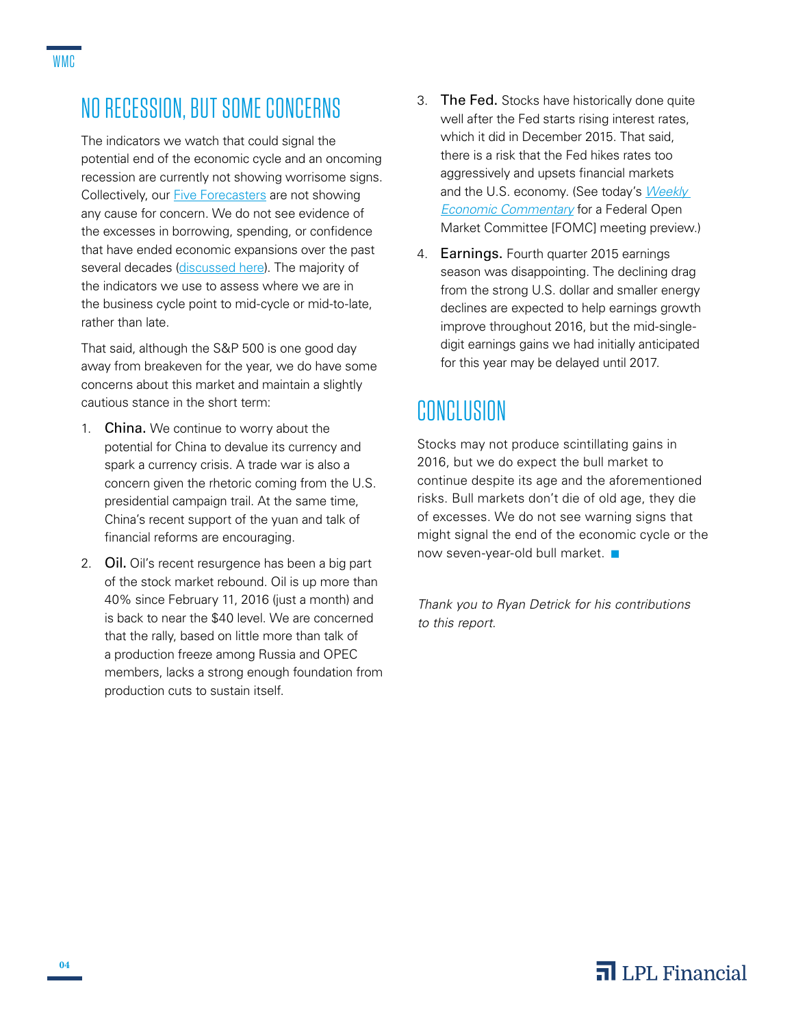### NO RECESSION, BUT SOME CONCERNS

The indicators we watch that could signal the potential end of the economic cycle and an oncoming recession are currently not showing worrisome signs. Collectively, our [Five Forecasters](http://lpl-research.com/~rss/LPL_RSS_Feeds_Publications/WMC/Weekly_Market_Commentary_01252016.pdf) are not showing any cause for concern. We do not see evidence of the excesses in borrowing, spending, or confidence that have ended economic expansions over the past several decades [\(discussed here\)](http://lpl-research.com/~rss/Thought_Leadership/TL_OverIndex.pdf). The majority of the indicators we use to assess where we are in the business cycle point to mid-cycle or mid-to-late, rather than late.

That said, although the S&P 500 is one good day away from breakeven for the year, we do have some concerns about this market and maintain a slightly cautious stance in the short term:

- 1. China. We continue to worry about the potential for China to devalue its currency and spark a currency crisis. A trade war is also a concern given the rhetoric coming from the U.S. presidential campaign trail. At the same time, China's recent support of the yuan and talk of financial reforms are encouraging.
- 2. Oil**.** Oil's recent resurgence has been a big part of the stock market rebound. Oil is up more than 40% since February 11, 2016 (just a month) and is back to near the \$40 level. We are concerned that the rally, based on little more than talk of a production freeze among Russia and OPEC members, lacks a strong enough foundation from production cuts to sustain itself.
- 3. The Fed. Stocks have historically done quite well after the Fed starts rising interest rates, which it did in December 2015. That said, there is a risk that the Fed hikes rates too aggressively and upsets financial markets and the U.S. economy. (See today's *[Weekly](http://lpl-research.com/~rss/LPL_RSS_Feeds_Publications/WEC/Weekly_Economic_Commentary_03142016.pdf)  [Economic Commentary](http://lpl-research.com/~rss/LPL_RSS_Feeds_Publications/WEC/Weekly_Economic_Commentary_03142016.pdf)* for a Federal Open Market Committee [FOMC] meeting preview.)
- 4. Earnings. Fourth quarter 2015 earnings season was disappointing. The declining drag from the strong U.S. dollar and smaller energy declines are expected to help earnings growth improve throughout 2016, but the mid-singledigit earnings gains we had initially anticipated for this year may be delayed until 2017.

### CONCLUSION

Stocks may not produce scintillating gains in 2016, but we do expect the bull market to continue despite its age and the aforementioned risks. Bull markets don't die of old age, they die of excesses. We do not see warning signs that might signal the end of the economic cycle or the now seven-year-old bull market.  $\blacksquare$ 

*Thank you to Ryan Detrick for his contributions to this report.*